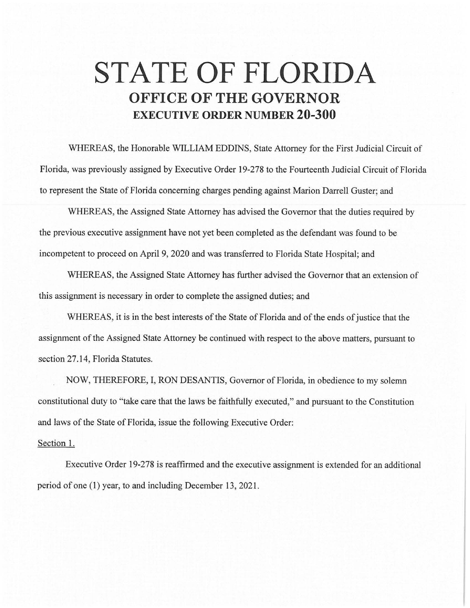## **STATE OF FLORIDA OFFICE OF THE GOVERNOR EXECUTIVE ORDER NUMBER 20-300**

WHEREAS, the Honorable WILLIAM EDDINS, State Attorney for the First Judicial Circuit of Florida, was previously assigned by Executive Order 19-278 to the Fourteenth Judicial Circuit of Florida to represent the State of Florida concerning charges pending against Marion Darrell Guster; and

WHEREAS, the Assigned State Attorney has advised the Governor that the duties required by the previous executive assignment have not yet been completed as the defendant was found to be incompetent to proceed on April 9, 2020 and was transferred to Florida State Hospital; and

WHEREAS, the Assigned State Attorney has further advised the Governor that an extension of this assignment is necessary in order to complete the assigned duties; and

WHEREAS, it is in the best interests of the State of Florida and of the ends of justice that the assignment of the Assigned State Attorney be continued with respect to the above matters, pursuant to section 27.14, Florida Statutes.

NOW, THEREFORE, I, RON DESANTIS, Governor of Florida, in obedience to my solemn constitutional duty to "take care that the laws be faithfully executed," and pursuant to the Constitution and laws of the State of Florida, issue the following Executive Order:

## Section 1.

Executive Order 19-278 is reaffirmed and the executive assignment is extended for an additional period of one (1) year, to and including December 13, 2021.